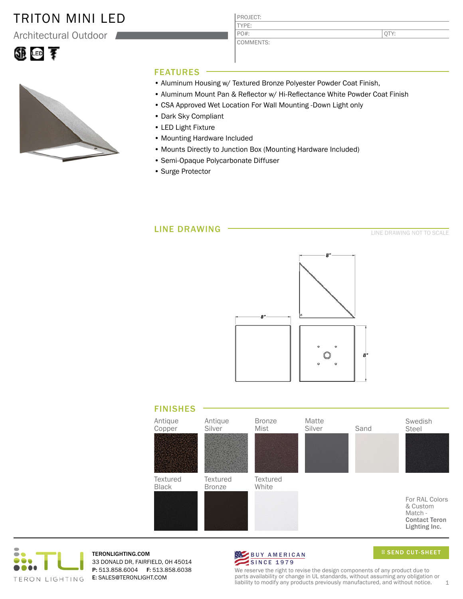### TRITON MINI LED

Architectural Outdoor





# PROJECT:

COMMENTS:

TYPE:

PO#:

QTY:

#### FEATURES

- Aluminum Housing w/ Textured Bronze Polyester Powder Coat Finish,
- Aluminum Mount Pan & Reflector w/ Hi-Reflectance White Powder Coat Finish
- CSA Approved Wet Location For Wall Mounting -Down Light only
- Dark Sky Compliant
- LED Light Fixture
- Mounting Hardware Included
- Mounts Directly to Junction Box (Mounting Hardware Included)
- Semi-Opaque Polycarbonate Diffuser
- Surge Protector

#### LINE DRAWING

LINE DRAWING NOT TO SCALE







TERONLIGHTING.COM 33 DONALD DR, FAIRFIELD, OH 45014 P: 513.858.6004 F: 513.858.6038 E: SALES@TERONLIGHT.COM



SEND CUT-SHEET

We reserve the right to revise the design components of any product due to parts availability or change in UL standards, without assuming any obligation or liability to modify any products previously manufactured, and without notice.  $1$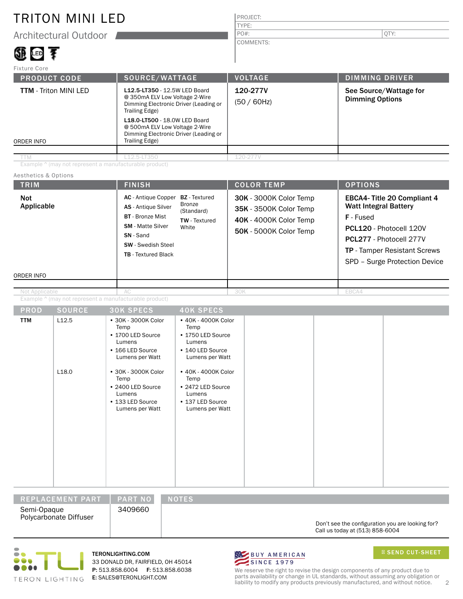## TRITON MINI LED

Architectural Outdoor

## 地画手

#### PROJECT: TYPE: COMMENTS: PO#:  $|\text{QTY:}|$

| Fixture Core                               |                                                                                                                                                                                                                                                          |                            |                                                  |
|--------------------------------------------|----------------------------------------------------------------------------------------------------------------------------------------------------------------------------------------------------------------------------------------------------------|----------------------------|--------------------------------------------------|
| <b>PRODUCT CODE</b>                        | SOURCE/WATTAGE                                                                                                                                                                                                                                           | <b>VOLTAGE</b>             | <b>DIMMING DRIVER</b>                            |
| <b>TTM</b> - Triton MINI LED<br>ORDER INFO | L12.5-LT350 - 12.5W LED Board<br>@ 350mA ELV Low Voltage 2-Wire<br>Dimming Electronic Driver (Leading or<br>Trailing Edge)<br>L18.0-LT500 - 18.0W LED Board<br>@ 500mA ELV Low Voltage 2-Wire<br>Dimming Electronic Driver (Leading or<br>Trailing Edge) | 120-277V<br>$(50 / 60$ Hz) | See Source/Wattage for<br><b>Dimming Options</b> |
|                                            |                                                                                                                                                                                                                                                          |                            |                                                  |
| TTM                                        | L12.5-LT350                                                                                                                                                                                                                                              | 120-277V                   |                                                  |

Example ^ (may not represent a manufacturable product)

#### Aesthetics & Options

| <b>TRIM</b>                     | <b>FINISH</b>                                                                                                                                                                                                                                                          | <b>COLOR TEMP</b>                                                                                                  | <b>OPTIONS</b>                                                                                                                                                                                                      |
|---------------------------------|------------------------------------------------------------------------------------------------------------------------------------------------------------------------------------------------------------------------------------------------------------------------|--------------------------------------------------------------------------------------------------------------------|---------------------------------------------------------------------------------------------------------------------------------------------------------------------------------------------------------------------|
| Not<br>Applicable<br>ORDER INFO | <b>AC</b> - Antique Copper<br><b>BZ</b> - Textured<br>Bronze<br><b>AS</b> - Antique Silver<br>(Standard)<br><b>BT</b> - Bronze Mist<br><b>TW</b> - Textured<br><b>SM</b> - Matte Silver<br>White<br>SN-Sand<br><b>SW</b> - Swedish Steel<br><b>TB</b> - Textured Black | 30K - 3000K Color Temp<br><b>35K - 3500K Color Temp</b><br><b>40K - 4000K Color Temp</b><br>50K - 5000K Color Temp | <b>EBCA4-Title 20 Compliant 4</b><br><b>Watt Integral Battery</b><br><b>F</b> - Fused<br>PCL120 - Photocell 120V<br>PCL277 - Photocell 277V<br><b>TP</b> - Tamper Resistant Screws<br>SPD - Surge Protection Device |
|                                 |                                                                                                                                                                                                                                                                        |                                                                                                                    |                                                                                                                                                                                                                     |

Example ^ (may not represent a manufacturable product) AC Not Applicable 30K

| <b>PROD</b> | <b>SOURCE</b>     | <b>30K SPECS</b>                                                                                  | <b>40K SPECS</b>                                                                                  |  |  |
|-------------|-------------------|---------------------------------------------------------------------------------------------------|---------------------------------------------------------------------------------------------------|--|--|
| <b>TTM</b>  | L12.5             | • 30K - 3000K Color<br>Temp<br>• 1700 LED Source<br>Lumens<br>• 166 LED Source<br>Lumens per Watt | • 40K - 4000K Color<br>Temp<br>• 1750 LED Source<br>Lumens<br>• 140 LED Source<br>Lumens per Watt |  |  |
|             | L <sub>18.0</sub> | • 30K - 3000K Color<br>Temp<br>• 2400 LED Source<br>Lumens<br>• 133 LED Source<br>Lumens per Watt | • 40K - 4000K Color<br>Temp<br>• 2472 LED Source<br>Lumens<br>• 137 LED Source<br>Lumens per Watt |  |  |

| IREPLACEMENT PART '                   | <b>PART NO</b> | <b>NOTES</b>                                                                        |
|---------------------------------------|----------------|-------------------------------------------------------------------------------------|
| Semi-Opaque<br>Polycarbonate Diffuser | 3409660        | Don't see the configuration you are looking for?<br>Call us today at (513) 858-6004 |



TERONLIGHTING.COM 33 DONALD DR, FAIRFIELD, OH 45014 P: 513.858.6004 F: 513.858.6038 E: SALES@TERONLIGHT.COM



SEND CUT-SHEET

We reserve the right to revise the design components of any product due to parts availability or change in UL standards, without assuming any obligation or liability to modify any products previously manufactured, and without notice. 2

EBCA4